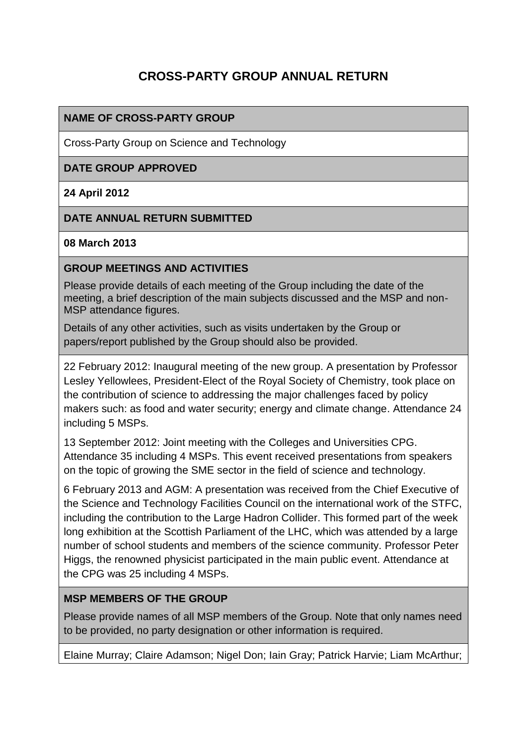# **CROSS-PARTY GROUP ANNUAL RETURN**

## **NAME OF CROSS-PARTY GROUP**

Cross-Party Group on Science and Technology

### **DATE GROUP APPROVED**

### **24 April 2012**

### **DATE ANNUAL RETURN SUBMITTED**

#### **08 March 2013**

### **GROUP MEETINGS AND ACTIVITIES**

Please provide details of each meeting of the Group including the date of the meeting, a brief description of the main subjects discussed and the MSP and non-MSP attendance figures.

Details of any other activities, such as visits undertaken by the Group or papers/report published by the Group should also be provided.

22 February 2012: Inaugural meeting of the new group. A presentation by Professor Lesley Yellowlees, President-Elect of the Royal Society of Chemistry, took place on the contribution of science to addressing the major challenges faced by policy makers such: as food and water security; energy and climate change. Attendance 24 including 5 MSPs.

13 September 2012: Joint meeting with the Colleges and Universities CPG. Attendance 35 including 4 MSPs. This event received presentations from speakers on the topic of growing the SME sector in the field of science and technology.

6 February 2013 and AGM: A presentation was received from the Chief Executive of the Science and Technology Facilities Council on the international work of the STFC, including the contribution to the Large Hadron Collider. This formed part of the week long exhibition at the Scottish Parliament of the LHC, which was attended by a large number of school students and members of the science community. Professor Peter Higgs, the renowned physicist participated in the main public event. Attendance at the CPG was 25 including 4 MSPs.

## **MSP MEMBERS OF THE GROUP**

Please provide names of all MSP members of the Group. Note that only names need to be provided, no party designation or other information is required.

Elaine Murray; Claire Adamson; Nigel Don; Iain Gray; Patrick Harvie; Liam McArthur;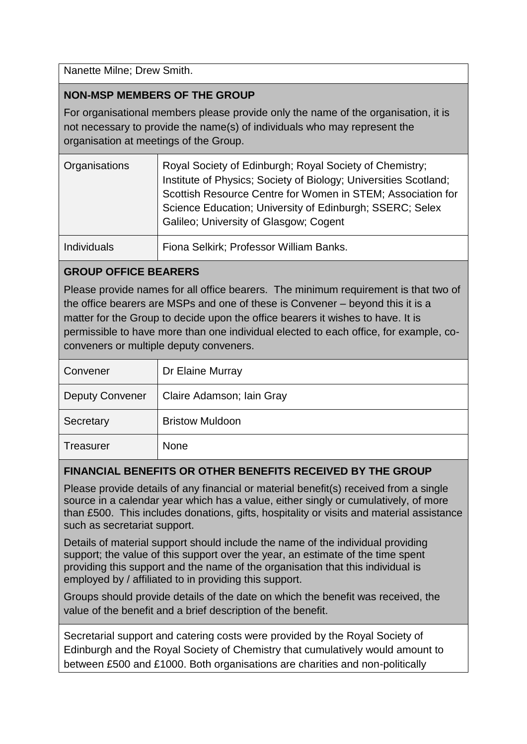Nanette Milne; Drew Smith.

## **NON-MSP MEMBERS OF THE GROUP**

For organisational members please provide only the name of the organisation, it is not necessary to provide the name(s) of individuals who may represent the organisation at meetings of the Group.

| Organisations      | Royal Society of Edinburgh; Royal Society of Chemistry;<br>Institute of Physics; Society of Biology; Universities Scotland;<br>Scottish Resource Centre for Women in STEM; Association for<br>Science Education; University of Edinburgh; SSERC; Selex<br>Galileo; University of Glasgow; Cogent |
|--------------------|--------------------------------------------------------------------------------------------------------------------------------------------------------------------------------------------------------------------------------------------------------------------------------------------------|
| <b>Individuals</b> | Fiona Selkirk; Professor William Banks.                                                                                                                                                                                                                                                          |

## **GROUP OFFICE BEARERS**

Please provide names for all office bearers. The minimum requirement is that two of the office bearers are MSPs and one of these is Convener – beyond this it is a matter for the Group to decide upon the office bearers it wishes to have. It is permissible to have more than one individual elected to each office, for example, coconveners or multiple deputy conveners.

| Convener               | Dr Elaine Murray          |
|------------------------|---------------------------|
| <b>Deputy Convener</b> | Claire Adamson; Iain Gray |
| Secretary              | <b>Bristow Muldoon</b>    |
| <b>Treasurer</b>       | <b>None</b>               |

## **FINANCIAL BENEFITS OR OTHER BENEFITS RECEIVED BY THE GROUP**

Please provide details of any financial or material benefit(s) received from a single source in a calendar year which has a value, either singly or cumulatively, of more than £500. This includes donations, gifts, hospitality or visits and material assistance such as secretariat support.

Details of material support should include the name of the individual providing support; the value of this support over the year, an estimate of the time spent providing this support and the name of the organisation that this individual is employed by / affiliated to in providing this support.

Groups should provide details of the date on which the benefit was received, the value of the benefit and a brief description of the benefit.

Secretarial support and catering costs were provided by the Royal Society of Edinburgh and the Royal Society of Chemistry that cumulatively would amount to between £500 and £1000. Both organisations are charities and non-politically